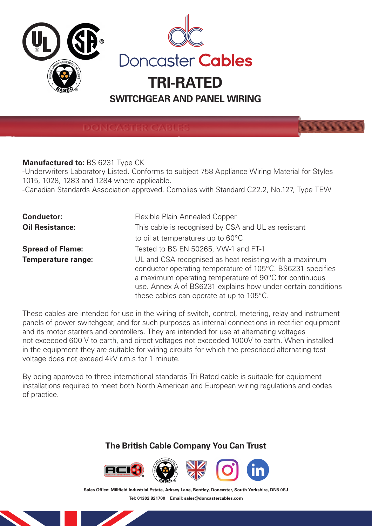

**DONCASTER CABLES** 

## **Manufactured to:** BS 6231 Type CK

-Underwriters Laboratory Listed. Conforms to subject 758 Appliance Wiring Material for Styles 1015, 1028, 1283 and 1284 where applicable.

-Canadian Standards Association approved. Complies with Standard C22.2, No.127, Type TEW

| <b>Conductor:</b>         | Flexible Plain Annealed Copper                                                                                                                                                                                                                                                             |  |  |  |  |
|---------------------------|--------------------------------------------------------------------------------------------------------------------------------------------------------------------------------------------------------------------------------------------------------------------------------------------|--|--|--|--|
| <b>Oil Resistance:</b>    | This cable is recognised by CSA and UL as resistant                                                                                                                                                                                                                                        |  |  |  |  |
|                           | to oil at temperatures up to 60°C                                                                                                                                                                                                                                                          |  |  |  |  |
| <b>Spread of Flame:</b>   | Tested to BS EN 50265, VW-1 and FT-1                                                                                                                                                                                                                                                       |  |  |  |  |
| <b>Temperature range:</b> | UL and CSA recognised as heat resisting with a maximum<br>conductor operating temperature of 105°C. BS6231 specifies<br>a maximum operating temperature of 90°C for continuous<br>use. Annex A of BS6231 explains how under certain conditions<br>these cables can operate at up to 105°C. |  |  |  |  |

These cables are intended for use in the wiring of switch, control, metering, relay and instrument panels of power switchgear, and for such purposes as internal connections in rectifier equipment and its motor starters and controllers. They are intended for use at alternating voltages not exceeded 600 V to earth, and direct voltages not exceeded 1000V to earth. When installed in the equipment they are suitable for wiring circuits for which the prescribed alternating test voltage does not exceed 4kV r.m.s for 1 minute.

By being approved to three international standards Tri-Rated cable is suitable for equipment installations required to meet both North American and European wiring regulations and codes of practice.

## **The British Cable Company You Can Trust**



Sales Office: Millfield Industrial Estate, Arksey Lane, Bentley, Doncaster, South Yorkshire, DN5 0SJ **Tel: 01302 821700 Email: sales@doncastercables.com**